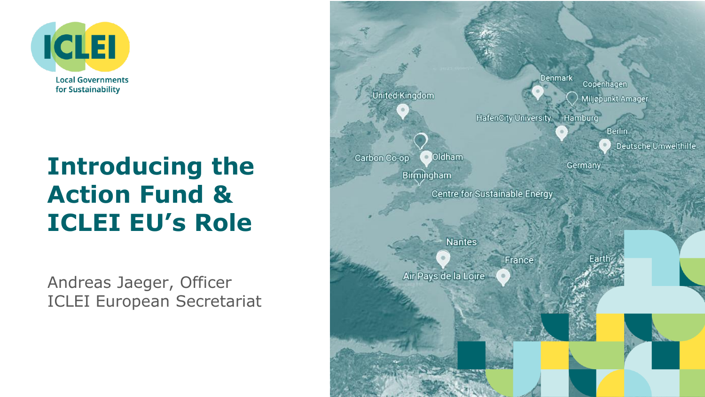

# **Introducing the Action Fund & ICLEI EU's Role**

Andreas Jaeger, Officer ICLEI European Secretariat

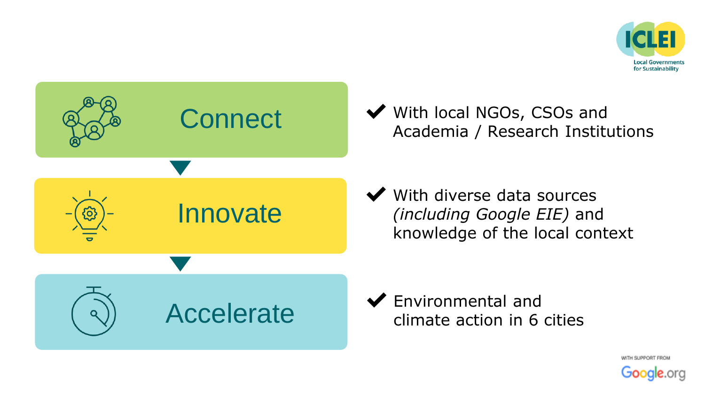



◆ With local NGOs, CSOs and Academia / Research Institutions

 $\blacktriangleright$  With diverse data sources *(including Google EIE)* and knowledge of the local context

✔Environmental and climate action in 6 cities

> WITH SUPPORT FROM Google.org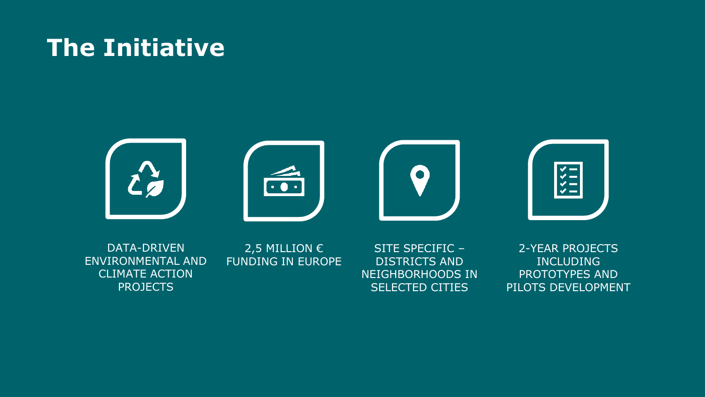## **The Initiative**



DATA-DRIVEN ENVIRONMENTAL AND CLIMATE ACTION PROJECTS

2,5 MILLION  $\epsilon$ FUNDING IN EUROPE

SITE SPECIFIC – DISTRICTS AND NEIGHBORHOODS IN SELECTED CITIES

2-YEAR PROJECTS INCLUDING PROTOTYPES AND PILOTS DEVELOPMENT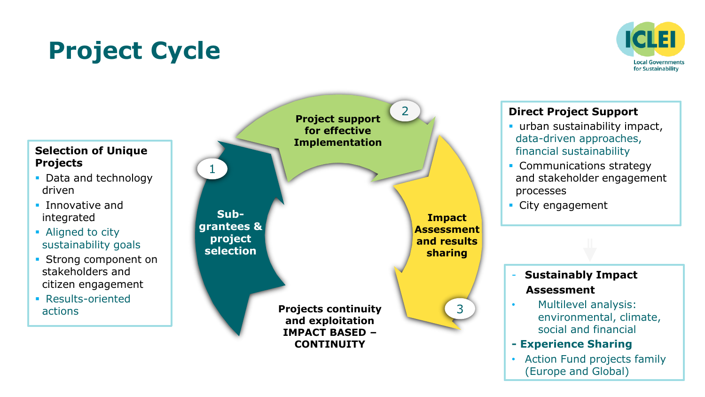# **Project Cycle**



#### **Selection of Unique Projects**

- Data and technology driven
- **·** Innovative and integrated
- Aligned to city sustainability goals
- **Strong component on** stakeholders and citizen engagement
- Results-oriented actions

**Project support for effective Implementation**

**Subgrantees & project selection**

1

**Impact Assessment and results sharing**

3

2

**Projects continuity and exploitation IMPACT BASED – CONTINUITY** 

#### **Direct Project Support**

- **· urban sustainability impact,** data-driven approaches, financial sustainability
- Communications strategy and stakeholder engagement processes
- City engagement

### - **Sustainably Impact Assessment**

- Multilevel analysis: environmental, climate, social and financial
- **- Experience Sharing**
- Action Fund projects family (Europe and Global)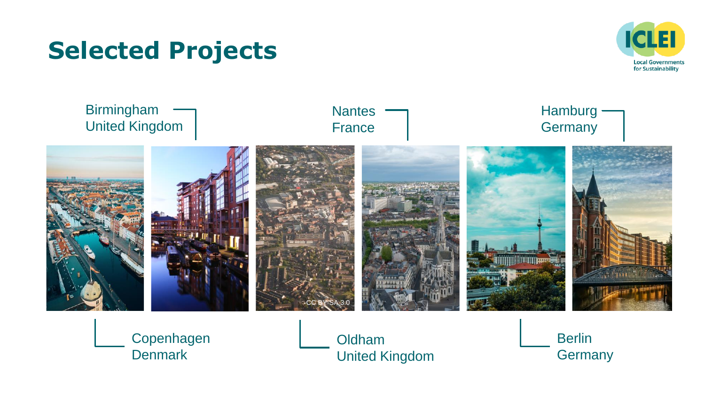## **Selected Projects**





Copenhagen **Denmark** 

Oldham United Kingdom Berlin **Germany**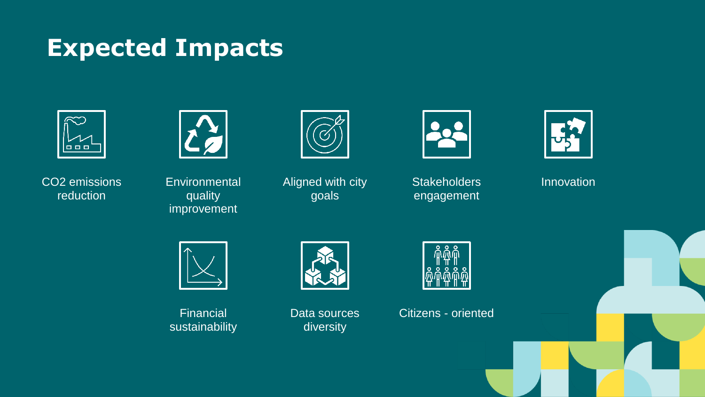### **Expected Impacts**



CO2 emissions reduction



**Environmental** quality improvement



Aligned with city goals



**Stakeholders** engagement



Innovation



Financial sustainability

Data sources diversity



Citizens - oriented